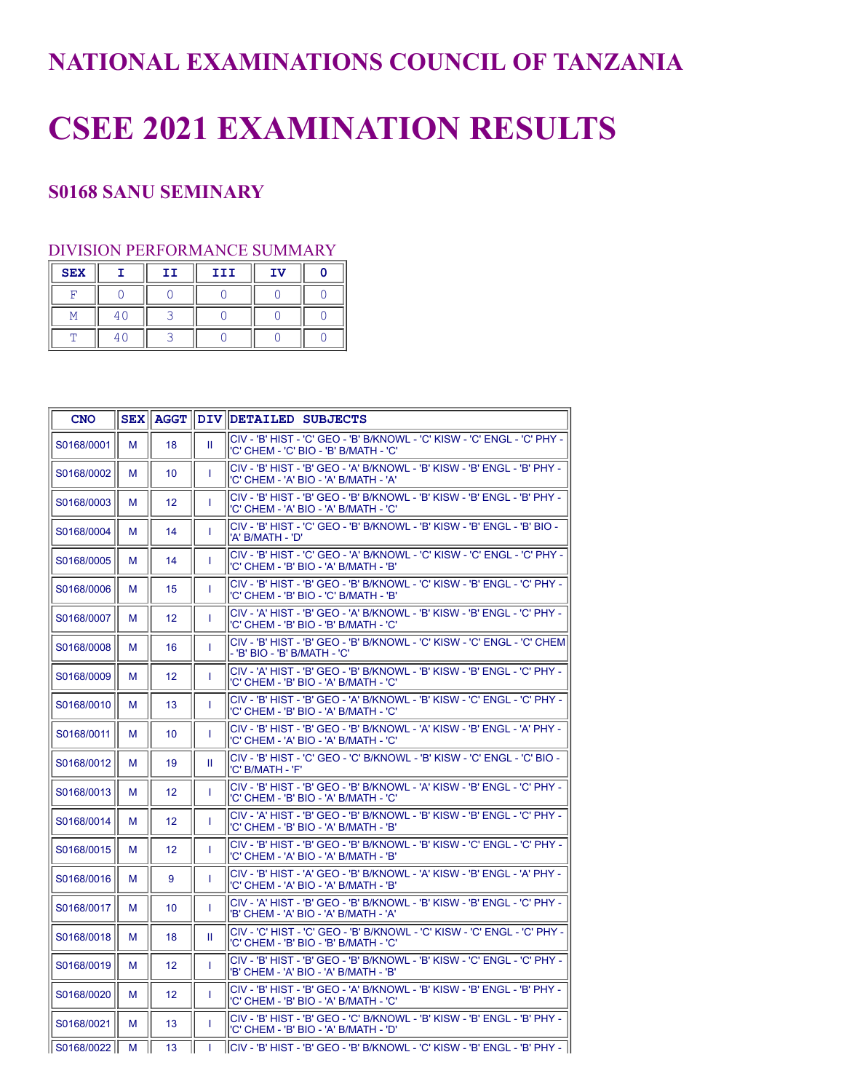## **NATIONAL EXAMINATIONS COUNCIL OF TANZANIA**

## **CSEE 2021 EXAMINATION RESULTS**

## **S0168 SANU SEMINARY**

## DIVISION PERFORMANCE SUMMARY

| <b>SEX</b> | тт | III | ΤV |  |
|------------|----|-----|----|--|
|            |    |     |    |  |
|            |    |     |    |  |
|            |    |     |    |  |

| <b>CNO</b> |   |                 |   | SEX    AGGT    DIV    DETAILED SUBJECTS                                                                            |
|------------|---|-----------------|---|--------------------------------------------------------------------------------------------------------------------|
| S0168/0001 | м | 18              | Ш | CIV - 'B' HIST - 'C' GEO - 'B' B/KNOWL - 'C' KISW - 'C' ENGL - 'C' PHY -<br>'C' CHEM - 'C' BIO - 'B' B/MATH - 'C'  |
| S0168/0002 | М | 10 <sup>°</sup> | T | CIV - 'B' HIST - 'B' GEO - 'A' B/KNOWL - 'B' KISW - 'B' ENGL - 'B' PHY -<br>'C' CHEM - 'A' BIO - 'A' B/MATH - 'A'  |
| S0168/0003 | М | 12              | T | CIV - 'B' HIST - 'B' GEO - 'B' B/KNOWL - 'B' KISW - 'B' ENGL - 'B' PHY -<br>'C' CHEM - 'A' BIO - 'A' B/MATH - 'C'  |
| S0168/0004 | м | 14              | T | CIV - 'B' HIST - 'C' GEO - 'B' B/KNOWL - 'B' KISW - 'B' ENGL - 'B' BIO -<br>'A' B/MATH - 'D'                       |
| S0168/0005 | М | 14              | T | CIV - 'B' HIST - 'C' GEO - 'A' B/KNOWL - 'C' KISW - 'C' ENGL - 'C' PHY -<br>'C' CHEM - 'B' BIO - 'A' B/MATH - 'B'  |
| S0168/0006 | М | 15              | T | CIV - 'B' HIST - 'B' GEO - 'B' B/KNOWL - 'C' KISW - 'B' ENGL - 'C' PHY -<br>'C' CHEM - 'B' BIO - 'C' B/MATH - 'B'  |
| S0168/0007 | м | 12              | T | CIV - 'A' HIST - 'B' GEO - 'A' B/KNOWL - 'B' KISW - 'B' ENGL - 'C' PHY -<br>'C' CHEM - 'B' BIO - 'B' B/MATH - 'C'  |
| S0168/0008 | м | 16              | T | İCIV - 'B' HIST - 'B' GEO - 'B' B/KNOWL - 'C' KISW - 'C' ENGL - 'C' CHEM<br>- 'B' BIO - 'B' B/MATH - 'C'           |
| S0168/0009 | м | 12 <sup>2</sup> | T | lCIV - 'A' HIST - 'B' GEO - 'B' B/KNOWL - 'B' KISW - 'B' ENGL - 'C' PHY -<br>'C' CHEM - 'B' BIO - 'A' B/MATH - 'C' |
| S0168/0010 | м | 13              | T | CIV - 'B' HIST - 'B' GEO - 'A' B/KNOWL - 'B' KISW - 'C' ENGL - 'C' PHY -<br>'C' CHEM - 'B' BIO - 'A' B/MATH - 'C'  |
| S0168/0011 | М | 10 <sup>1</sup> | T | CIV - 'B' HIST - 'B' GEO - 'B' B/KNOWL - 'A' KISW - 'B' ENGL - 'A' PHY -<br>'C' CHEM - 'A' BIO - 'A' B/MATH - 'C'  |
| S0168/0012 | м | 19              | Ш | CIV - 'B' HIST - 'C' GEO - 'C' B/KNOWL - 'B' KISW - 'C' ENGL - 'C' BIO -<br>'C' B/MATH - 'F'                       |
| S0168/0013 | М | 12              | T | CIV - 'B' HIST - 'B' GEO - 'B' B/KNOWL - 'A' KISW - 'B' ENGL - 'C' PHY -<br>'C' CHEM - 'B' BIO - 'A' B/MATH - 'C'  |
| S0168/0014 | м | 12              | T | CIV - 'A' HIST - 'B' GEO - 'B' B/KNOWL - 'B' KISW - 'B' ENGL - 'C' PHY -<br>'C' CHEM - 'B' BIO - 'A' B/MATH - 'B'  |
| S0168/0015 | м | 12              | T | CIV - 'B' HIST - 'B' GEO - 'B' B/KNOWL - 'B' KISW - 'C' ENGL - 'C' PHY -<br>'C' CHEM - 'A' BIO - 'A' B/MATH - 'B'  |
| S0168/0016 | м | 9               | T | CIV - 'B' HIST - 'A' GEO - 'B' B/KNOWL - 'A' KISW - 'B' ENGL - 'A' PHY -<br>'C' CHEM - 'A' BIO - 'A' B/MATH - 'B'  |
| S0168/0017 | М | 10 <sup>1</sup> | T | CIV - 'A' HIST - 'B' GEO - 'B' B/KNOWL - 'B' KISW - 'B' ENGL - 'C' PHY -<br>'B' CHEM - 'A' BIO - 'A' B/MATH - 'A'  |
| S0168/0018 | м | 18              | Ш | CIV - 'C' HIST - 'C' GEO - 'B' B/KNOWL - 'C' KISW - 'C' ENGL - 'C' PHY -<br>'C' CHEM - 'B' BIO - 'B' B/MATH - 'C'  |
| S0168/0019 | М | 12              | T | CIV - 'B' HIST - 'B' GEO - 'B' B/KNOWL - 'B' KISW - 'C' ENGL - 'C' PHY -<br>'B' CHEM - 'A' BIO - 'A' B/MATH - 'B'  |
| S0168/0020 | м | 12 <sup>2</sup> | T | CIV - 'B' HIST - 'B' GEO - 'A' B/KNOWL - 'B' KISW - 'B' ENGL - 'B' PHY -<br>'C' CHEM - 'B' BIO - 'A' B/MATH - 'C'  |
| S0168/0021 | м | 13              | T | CIV - 'B' HIST - 'B' GEO - 'C' B/KNOWL - 'B' KISW - 'B' ENGL - 'B' PHY -<br>'C' CHEM - 'B' BIO - 'A' B/MATH - 'D'  |
| S0168/0022 | М | 13              |   | lCIV - 'B' HIST - 'B' GEO - 'B' B/KNOWL - 'C' KISW - 'B' ENGL - 'B' PHY -                                          |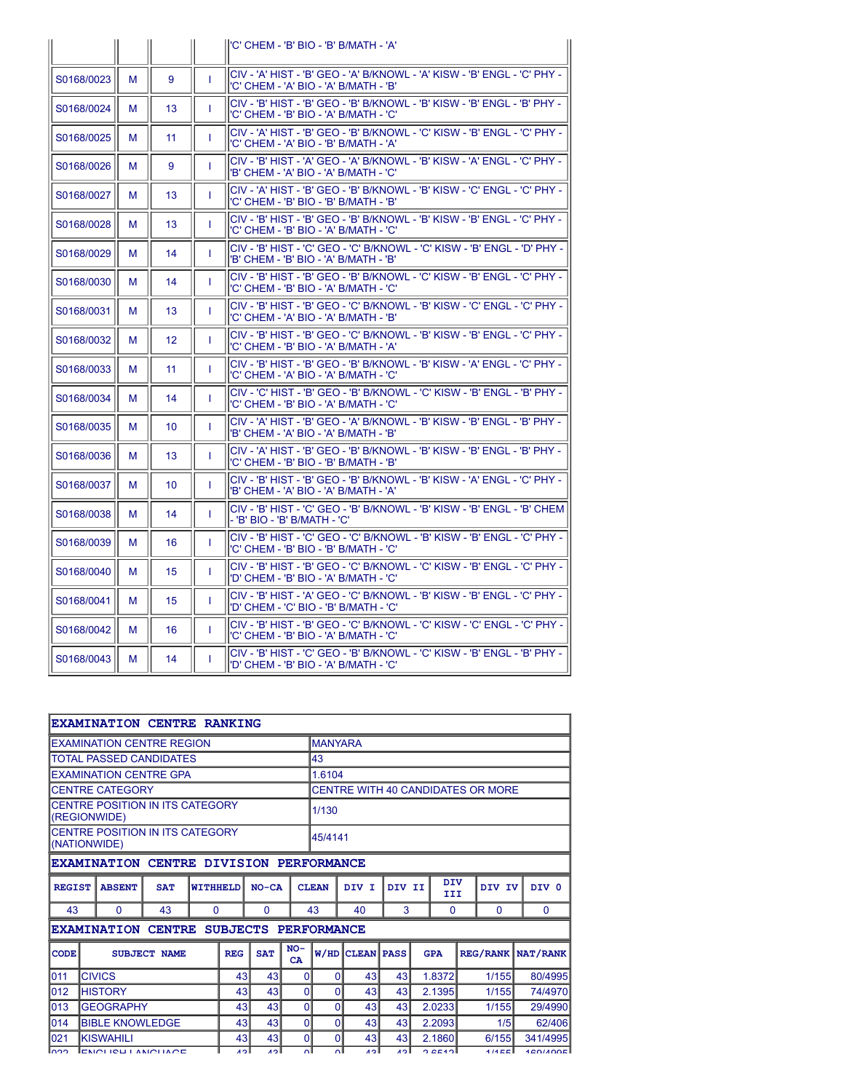|            |   |                 |              | l'C' CHEM - 'B' BIO - 'B' B/MATH - 'A'                                                                               |
|------------|---|-----------------|--------------|----------------------------------------------------------------------------------------------------------------------|
| S0168/0023 | м | 9               | T            | lCIV - 'A' HIST - 'B' GEO - 'A' B/KNOWL - 'A' KISW - 'B' ENGL - 'C' PHY -<br>l'C' CHEM - 'A' BIO - 'A' B/MATH - 'B'  |
| S0168/0024 | м | 13              | T            | İCIV - 'B' HIST - 'B' GEO - 'B' B/KNOWL - 'B' KISW - 'B' ENGL - 'B' PHY -<br>'C' CHEM - 'B' BIO - 'A' B/MATH - 'C'   |
| S0168/0025 | м | 11              | T            | CIV - 'A' HIST - 'B' GEO - 'B' B/KNOWL - 'C' KISW - 'B' ENGL - 'C' PHY -<br>'C' CHEM - 'A' BIO - 'B' B/MATH - 'A'    |
| S0168/0026 | м | 9               | $\mathbf{I}$ | İCIV - 'B' HIST - 'A' GEO - 'A' B/KNOWL - 'B' KISW - 'A' ENGL - 'C' PHY -<br>'B' CHEM - 'A' BIO - 'A' B/MATH - 'C'   |
| S0168/0027 | м | 13              | T            | lCIV - 'A' HIST - 'B' GEO - 'B' B/KNOWL - 'B' KISW - 'C' ENGL - 'C' PHY -<br>'C' CHEM - 'B' BIO - 'B' B/MATH - 'B'   |
| S0168/0028 | м | 13              | T            | CIV - 'B' HIST - 'B' GEO - 'B' B/KNOWL - 'B' KISW - 'B' ENGL - 'C' PHY -<br>'C' CHEM - 'B' BIO - 'A' B/MATH - 'C'    |
| S0168/0029 | м | 14              | T            | lCIV - 'B' HIST - 'C' GEO - 'C' B/KNOWL - 'C' KISW - 'B' ENGL - 'D' PHY -<br>'B' CHEM - 'B' BIO - 'A' B/MATH - 'B'   |
| S0168/0030 | м | 14              | T            | CIV - 'B' HIST - 'B' GEO - 'B' B/KNOWL - 'C' KISW - 'B' ENGL - 'C' PHY -<br>l'C' CHEM - 'B' BIO - 'A' B/MATH - 'C'   |
| S0168/0031 | м | 13              | T            | İCIV - 'B' HIST - 'B' GEO - 'C' B/KNOWL - 'B' KISW - 'C' ENGL - 'C' PHY -<br>'C' CHEM - 'A' BIO - 'A' B/MATH - 'B'   |
| S0168/0032 | м | 12              | T            | İCIV - 'B' HIST - 'B' GEO - 'C' B/KNOWL - 'B' KISW - 'B' ENGL - 'C' PHY -<br>'C' CHEM - 'B' BIO - 'A' B/MATH - 'A'   |
| S0168/0033 | м | 11              | T            | lCIV - 'B' HIST - 'B' GEO - 'B' B/KNOWL - 'B' KISW - 'A' ENGL - 'C' PHY -<br>'C' CHEM - 'A' BIO - 'A' B/MATH - 'C'   |
| S0168/0034 | м | 14              | T            | İCIV - 'C' HIST - 'B' GEO - 'B' B/KNOWL - 'C' KISW - 'B' ENGL - 'B' PHY -<br>'C' CHEM - 'B' BIO - 'A' B/MATH - 'C'   |
| S0168/0035 | м | 10 <sup>°</sup> | T            | İCIV - 'A' HIST - 'B' GEO - 'A' B/KNOWL - 'B' KISW - 'B' ENGL - 'B' PHY -<br>'B' CHEM - 'A' BIO - 'A' B/MATH - 'B'   |
| S0168/0036 | м | 13              | T            | lCIV - 'A' HIST - 'B' GEO - 'B' B/KNOWL - 'B' KISW - 'B' ENGL - 'B' PHY -<br>'C' CHEM - 'B' BIO - 'B' B/MATH - 'B'   |
| S0168/0037 | м | 10              | T            | İCIV - 'B' HIST - 'B' GEO - 'B' B/KNOWL - 'B' KISW - 'A' ENGL - 'C' PHY -<br>'B' CHEM - 'A' BIO - 'A' B/MATH - 'A'   |
| S0168/0038 | м | 14              | T.           | İCIV - 'B' HIST - 'C' GEO - 'B' B/KNOWL - 'B' KISW - 'B' ENGL - 'B' CHEM<br>- 'B' BIO - 'B' B/MATH - 'C'             |
| S0168/0039 | м | 16              | T            | lCIV - 'B' HIST - 'C' GEO - 'C' B/KNOWL - 'B' KISW - 'B' ENGL - 'C' PHY -<br>l'C' CHEM - 'B' BIO - 'B' B/MATH - 'C'  |
| S0168/0040 | м | 15              | T            | İCIV - 'B' HIST - 'B' GEO - 'C' B/KNOWL - 'C' KISW - 'B' ENGL - 'C' PHY -<br>I'D' CHEM - 'B' BIO - 'A' B/MATH - 'C'  |
| S0168/0041 | м | 15              | T            | İCIV - 'B' HIST - 'A' GEO - 'C' B/KNOWL - 'B' KISW - 'B' ENGL - 'C' PHY -<br>'D' CHEM - 'C' BIO - 'B' B/MATH - 'C'   |
| S0168/0042 | м | 16              | T            | CIV - 'B' HIST - 'B' GEO - 'C' B/KNOWL - 'C' KISW - 'C' ENGL - 'C' PHY -<br>'C' CHEM - 'B' BIO - 'A' B/MATH - 'C'    |
| S0168/0043 | м | 14              | T            | CIV - 'B' HIST - 'C' GEO - 'B' B/KNOWL - 'C' KISW - 'B' ENGL - 'B' PHY -  <br>I'D' CHEM - 'B' BIO - 'A' B/MATH - 'C' |

|                                                |                                                                 |                        | <b>EXAMINATION CENTRE RANKING</b>      |   |                |            |                                   |                             |                   |     |        |            |  |                 |          |
|------------------------------------------------|-----------------------------------------------------------------|------------------------|----------------------------------------|---|----------------|------------|-----------------------------------|-----------------------------|-------------------|-----|--------|------------|--|-----------------|----------|
|                                                |                                                                 |                        | <b>FXAMINATION CENTRE REGION</b>       |   | <b>MANYARA</b> |            |                                   |                             |                   |     |        |            |  |                 |          |
|                                                |                                                                 |                        | <b>TOTAL PASSED CANDIDATES</b>         |   | 43             |            |                                   |                             |                   |     |        |            |  |                 |          |
|                                                |                                                                 |                        | <b>EXAMINATION CENTRE GPA</b>          |   |                |            | 1.6104                            |                             |                   |     |        |            |  |                 |          |
|                                                |                                                                 | <b>CENTRE CATEGORY</b> |                                        |   |                |            | CENTRE WITH 40 CANDIDATES OR MORE |                             |                   |     |        |            |  |                 |          |
| (REGIONWIDE)                                   |                                                                 |                        | <b>CENTRE POSITION IN ITS CATEGORY</b> |   |                |            | 1/130                             |                             |                   |     |        |            |  |                 |          |
| (NATIONWIDE)                                   |                                                                 |                        | CENTRE POSITION IN ITS CATEGORY        |   |                |            |                                   | 45/4141                     |                   |     |        |            |  |                 |          |
| <b>EXAMINATION CENTRE DIVISION PERFORMANCE</b> |                                                                 |                        |                                        |   |                |            |                                   |                             |                   |     |        |            |  |                 |          |
|                                                | <b>REGIST</b><br><b>ABSENT</b><br><b>SAT</b><br><b>WITHHELD</b> |                        | $NO-CA$                                |   | <b>CLEAN</b>   | DIV I      |                                   | <b>DIV</b><br>DIV II<br>III |                   |     | DIV IV | DIV 0      |  |                 |          |
| 43                                             |                                                                 | $\Omega$               | 43                                     | 0 |                | 0          |                                   | 43                          | 40                | 3   |        | $\Omega$   |  | 0               | $\Omega$ |
|                                                | <b>EXAMINATION CENTRE</b><br>SUBJECTS PERFORMANCE               |                        |                                        |   |                |            |                                   |                             |                   |     |        |            |  |                 |          |
| <b>CODE</b>                                    |                                                                 |                        | <b>SUBJECT NAME</b>                    |   | <b>REG</b>     | <b>SAT</b> | $NO-$<br><b>CA</b>                | W/HD                        | <b>CLEAN PASS</b> |     |        | <b>GPA</b> |  | <b>REG/RANK</b> | NAT/RANK |
| 011                                            | <b>CIVICS</b>                                                   |                        |                                        |   | 43             | 43         | $\Omega$                          | $\Omega$                    | 43                | 43  |        | 1.8372     |  | 1/155           | 80/4995  |
| 012                                            |                                                                 | <b>HISTORY</b>         |                                        |   | 43             | 43         | $\Omega$                          | $\Omega$                    | 43                | 43  |        | 2.1395     |  | 1/155           | 74/4970  |
| 013                                            |                                                                 | <b>GEOGRAPHY</b>       |                                        |   | 43             | 43         | $\Omega$                          | $\Omega$                    | 43                | 43  |        | 2.0233     |  | 1/155           | 29/4990  |
| 014                                            |                                                                 | <b>BIBLE KNOWLEDGE</b> |                                        |   | 43             | 43         | $\Omega$                          | $\Omega$                    | 43                | 43  |        | 2.2093     |  | 1/5             | 62/406   |
| 021                                            |                                                                 | <b>KISWAHILI</b>       |                                        |   | 43             | 43         | $\Omega$                          | $\Omega$                    | 43                | 43  |        | 2.1860     |  | 6/155           | 341/4995 |
| وووا                                           |                                                                 |                        | <b>ENGLICH LANGLIAGE</b>               |   | ادته           | ادته       | ΩI                                | ΔI                          | ادته              | ادھ |        | 0.0512     |  | 4/4 E E I       | 180/1005 |